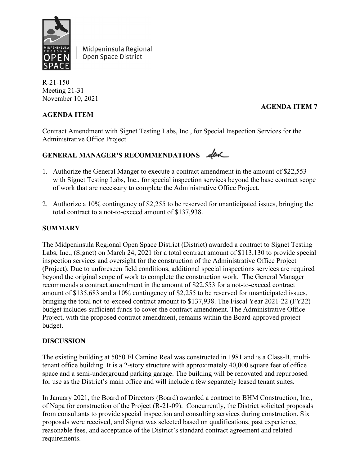

Midpeninsula Regional Open Space District

R-21-150 Meeting 21-31 November 10, 2021

## **AGENDA ITEM**

# **AGENDA ITEM 7**

Contract Amendment with Signet Testing Labs, Inc., for Special Inspection Services for the Administrative Office Project

# GENERAL MANAGER'S RECOMMENDATIONS  $\mathcal{A}$ er

- 1. Authorize the General Manger to execute a contract amendment in the amount of \$22,553 with Signet Testing Labs, Inc., for special inspection services beyond the base contract scope of work that are necessary to complete the Administrative Office Project.
- 2. Authorize a 10% contingency of \$2,255 to be reserved for unanticipated issues, bringing the total contract to a not-to-exceed amount of \$137,938.

## **SUMMARY**

The Midpeninsula Regional Open Space District (District) awarded a contract to Signet Testing Labs, Inc., (Signet) on March 24, 2021 for a total contract amount of \$113,130 to provide special inspection services and oversight for the construction of the Administrative Office Project (Project). Due to unforeseen field conditions, additional special inspections services are required beyond the original scope of work to complete the construction work. The General Manager recommends a contract amendment in the amount of \$22,553 for a not-to-exceed contract amount of \$135,683 and a 10% contingency of \$2,255 to be reserved for unanticipated issues, bringing the total not-to-exceed contract amount to \$137,938. The Fiscal Year 2021-22 (FY22) budget includes sufficient funds to cover the contract amendment. The Administrative Office Project, with the proposed contract amendment, remains within the Board-approved project budget.

## **DISCUSSION**

The existing building at 5050 El Camino Real was constructed in 1981 and is a Class-B, multitenant office building. It is a 2-story structure with approximately 40,000 square feet of office space and a semi-underground parking garage. The building will be renovated and repurposed for use as the District's main office and will include a few separately leased tenant suites.

In January 2021, the Board of Directors (Board) awarded a contract to BHM Construction, Inc., of Napa for construction of the Project (R-21-09). Concurrently, the District solicited proposals from consultants to provide special inspection and consulting services during construction. Six proposals were received, and Signet was selected based on qualifications, past experience, reasonable fees, and acceptance of the District's standard contract agreement and related requirements.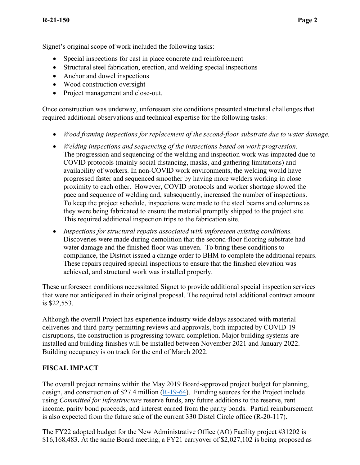Signet's original scope of work included the following tasks:

- Special inspections for cast in place concrete and reinforcement
- Structural steel fabrication, erection, and welding special inspections
- Anchor and dowel inspections
- Wood construction oversight
- Project management and close-out.

Once construction was underway, unforeseen site conditions presented structural challenges that required additional observations and technical expertise for the following tasks:

- *Wood framing inspections for replacement of the second-floor substrate due to water damage.*
- *Welding inspections and sequencing of the inspections based on work progression.*  The progression and sequencing of the welding and inspection work was impacted due to COVID protocols (mainly social distancing, masks, and gathering limitations) and availability of workers. In non-COVID work environments, the welding would have progressed faster and sequenced smoother by having more welders working in close proximity to each other. However, COVID protocols and worker shortage slowed the pace and sequence of welding and, subsequently, increased the number of inspections. To keep the project schedule, inspections were made to the steel beams and columns as they were being fabricated to ensure the material promptly shipped to the project site. This required additional inspection trips to the fabrication site.
- *Inspections for structural repairs associated with unforeseen existing conditions.* Discoveries were made during demolition that the second-floor flooring substrate had water damage and the finished floor was uneven. To bring these conditions to compliance, the District issued a change order to BHM to complete the additional repairs. These repairs required special inspections to ensure that the finished elevation was achieved, and structural work was installed properly.

These unforeseen conditions necessitated Signet to provide additional special inspection services that were not anticipated in their original proposal. The required total additional contract amount is \$22,553.

Although the overall Project has experience industry wide delays associated with material deliveries and third-party permitting reviews and approvals, both impacted by COVID-19 disruptions, the construction is progressing toward completion. Major building systems are installed and building finishes will be installed between November 2021 and January 2022. Building occupancy is on track for the end of March 2022.

## **FISCAL IMPACT**

The overall project remains within the May 2019 Board-approved project budget for planning, design, and construction of \$27.4 million  $(R-19-64)$ . Funding sources for the Project include using *Committed for Infrastructure* reserve funds, any future additions to the reserve, rent income, parity bond proceeds, and interest earned from the parity bonds. Partial reimbursement is also expected from the future sale of the current 330 Distel Circle office (R-20-117).

The FY22 adopted budget for the New Administrative Office (AO) Facility project #31202 is \$16,168,483. At the same Board meeting, a FY21 carryover of \$2,027,102 is being proposed as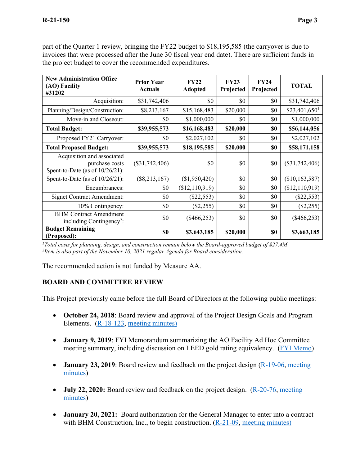| part of the Quarter 1 review, bringing the FY22 budget to \$18,195,585 (the carryover is due to     |
|-----------------------------------------------------------------------------------------------------|
| invoices that were processed after the June 30 fiscal year end date). There are sufficient funds in |
| the project budget to cover the recommended expenditures.                                           |

| <b>New Administration Office</b><br>(AO) Facility<br>#31202                        | <b>Prior Year</b><br><b>Actuals</b> | FY22<br><b>Adopted</b> | FY23<br>Projected | FY24<br>Projected | <b>TOTAL</b>               |
|------------------------------------------------------------------------------------|-------------------------------------|------------------------|-------------------|-------------------|----------------------------|
| Acquisition:                                                                       | \$31,742,406                        | \$0                    | \$0               | \$0               | \$31,742,406               |
| Planning/Design/Construction:                                                      | \$8,213,167                         | \$15,168,483           | \$20,000          | \$0               | $$23,401,650$ <sup>1</sup> |
| Move-in and Closeout:                                                              | \$0                                 | \$1,000,000            | \$0               | \$0               | \$1,000,000                |
| <b>Total Budget:</b>                                                               | \$39,955,573                        | \$16,168,483           | \$20,000          | \$0               | \$56,144,056               |
| Proposed FY21 Carryover:                                                           | \$0                                 | \$2,027,102            | \$0               | \$0               | \$2,027,102                |
| <b>Total Proposed Budget:</b>                                                      | \$39,955,573                        | \$18,195,585           | \$20,000          | \$0               | \$58,171,158               |
| Acquisition and associated<br>purchase costs<br>Spent-to-Date (as of $10/26/21$ ): | $(\$31,742,406)$                    | \$0                    | \$0               | \$0               | $(\$31,742,406)$           |
| Spent-to-Date (as of $10/26/21$ ):                                                 | $(\$8,213,167)$                     | (\$1,950,420)          | \$0               | \$0               | (\$10,163,587)             |
| Encumbrances:                                                                      | \$0                                 | (\$12,110,919)         | \$0               | \$0               | (\$12,110,919)             |
| <b>Signet Contract Amendment:</b>                                                  | \$0                                 | $(\$22,553)$           | \$0               | \$0               | $(\$22,553)$               |
| 10% Contingency:                                                                   | \$0                                 | $(\$2,255)$            | \$0               | \$0               | $(\$2,255)$                |
| <b>BHM</b> Contract Amendment<br>including Contingency <sup>2</sup> :              | \$0                                 | $(\$466,253)$          | \$0               | \$0               | $(\$466,253)$              |
| <b>Budget Remaining</b><br>(Proposed):                                             | \$0                                 | \$3,643,185            | \$20,000          | \$0               | \$3,663,185                |

*1 Total costs for planning, design, and construction remain below the Board-approved budget of \$27.4M 2 Item is also part of the November 10, 2021 regular Agenda for Board consideration.*

The recommended action is not funded by Measure AA.

## **BOARD AND COMMITTEE REVIEW**

This Project previously came before the full Board of Directors at the following public meetings:

- **October 24, 2018**: Board review and approval of the Project Design Goals and Program Elements. [\(R-18-123,](https://www.openspace.org/sites/default/files/20181024_AO_Apprv_Prioritization_Prog_Goals%2BOutreach_R-18-123.pdf) [meeting minutes\)](https://www.openspace.org/sites/default/files/20181024_BOD_minutes_APPROVED.pdf)
- **January 9, 2019**: FYI Memorandum summarizing the AO Facility Ad Hoc Committee meeting summary, including discussion on LEED gold rating equivalency. [\(FYI Memo\)](https://www.openspace.org/sites/default/files/20190109_FYI_AOAdHocUpdate.pdf)
- **January 23, 2019**: Board review and feedback on the project design [\(R-19-06,](https://www.openspace.org/sites/default/files/20190123_PresentationandDiscussionofAdministrativeOfficeRemodelSchematicDesgin_R-19-06.pdf) meeting [minutes\)](https://www.openspace.org/sites/default/files/20190123_BOD_minutes_APPROVED.pdf)
- **July 22, 2020:** Board review and feedback on the project design. [\(R-20-76,](https://www.openspace.org/about-us/meetings/20-16) meeting [minutes\)](https://www.openspace.org/sites/default/files/20200722_BOD_minutes_APPROVED.pdf)
- **January 20, 2021:** Board authorization for the General Manager to enter into a contract with BHM Construction, Inc., to begin construction.  $(R-21-09,$  [meeting minutes\)](https://www.openspace.org/sites/default/files/20210120_BOD_minutes_APPROVED.pdf)